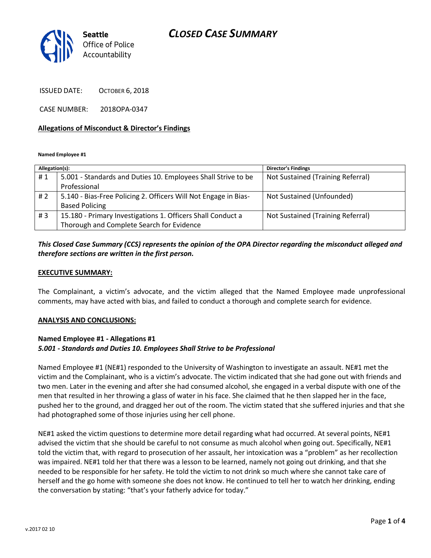# *CLOSED CASE SUMMARY*



ISSUED DATE: OCTOBER 6, 2018

CASE NUMBER: 2018OPA-0347

#### **Allegations of Misconduct & Director's Findings**

**Named Employee #1**

| Allegation(s): |                                                                 | <b>Director's Findings</b>        |
|----------------|-----------------------------------------------------------------|-----------------------------------|
| #1             | 5.001 - Standards and Duties 10. Employees Shall Strive to be   | Not Sustained (Training Referral) |
|                | Professional                                                    |                                   |
| #2             | 5.140 - Bias-Free Policing 2. Officers Will Not Engage in Bias- | Not Sustained (Unfounded)         |
|                | <b>Based Policing</b>                                           |                                   |
| #3             | 15.180 - Primary Investigations 1. Officers Shall Conduct a     | Not Sustained (Training Referral) |
|                | Thorough and Complete Search for Evidence                       |                                   |

### *This Closed Case Summary (CCS) represents the opinion of the OPA Director regarding the misconduct alleged and therefore sections are written in the first person.*

#### **EXECUTIVE SUMMARY:**

The Complainant, a victim's advocate, and the victim alleged that the Named Employee made unprofessional comments, may have acted with bias, and failed to conduct a thorough and complete search for evidence.

#### **ANALYSIS AND CONCLUSIONS:**

### **Named Employee #1 - Allegations #1** *5.001 - Standards and Duties 10. Employees Shall Strive to be Professional*

Named Employee #1 (NE#1) responded to the University of Washington to investigate an assault. NE#1 met the victim and the Complainant, who is a victim's advocate. The victim indicated that she had gone out with friends and two men. Later in the evening and after she had consumed alcohol, she engaged in a verbal dispute with one of the men that resulted in her throwing a glass of water in his face. She claimed that he then slapped her in the face, pushed her to the ground, and dragged her out of the room. The victim stated that she suffered injuries and that she had photographed some of those injuries using her cell phone.

NE#1 asked the victim questions to determine more detail regarding what had occurred. At several points, NE#1 advised the victim that she should be careful to not consume as much alcohol when going out. Specifically, NE#1 told the victim that, with regard to prosecution of her assault, her intoxication was a "problem" as her recollection was impaired. NE#1 told her that there was a lesson to be learned, namely not going out drinking, and that she needed to be responsible for her safety. He told the victim to not drink so much where she cannot take care of herself and the go home with someone she does not know. He continued to tell her to watch her drinking, ending the conversation by stating: "that's your fatherly advice for today."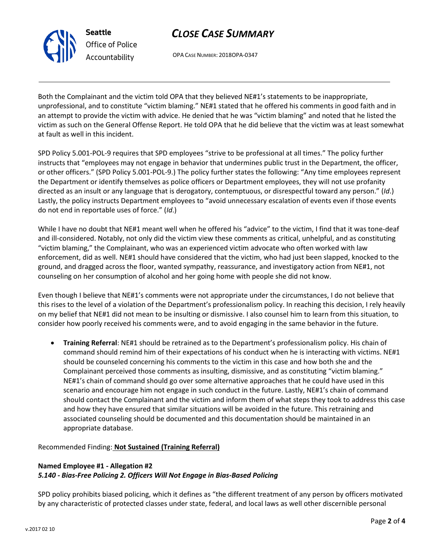

OPA CASE NUMBER: 2018OPA-0347

Both the Complainant and the victim told OPA that they believed NE#1's statements to be inappropriate, unprofessional, and to constitute "victim blaming." NE#1 stated that he offered his comments in good faith and in an attempt to provide the victim with advice. He denied that he was "victim blaming" and noted that he listed the victim as such on the General Offense Report. He told OPA that he did believe that the victim was at least somewhat at fault as well in this incident.

SPD Policy 5.001-POL-9 requires that SPD employees "strive to be professional at all times." The policy further instructs that "employees may not engage in behavior that undermines public trust in the Department, the officer, or other officers." (SPD Policy 5.001-POL-9.) The policy further states the following: "Any time employees represent the Department or identify themselves as police officers or Department employees, they will not use profanity directed as an insult or any language that is derogatory, contemptuous, or disrespectful toward any person." (*Id*.) Lastly, the policy instructs Department employees to "avoid unnecessary escalation of events even if those events do not end in reportable uses of force." (*Id*.)

While I have no doubt that NE#1 meant well when he offered his "advice" to the victim, I find that it was tone-deaf and ill-considered. Notably, not only did the victim view these comments as critical, unhelpful, and as constituting "victim blaming," the Complainant, who was an experienced victim advocate who often worked with law enforcement, did as well. NE#1 should have considered that the victim, who had just been slapped, knocked to the ground, and dragged across the floor, wanted sympathy, reassurance, and investigatory action from NE#1, not counseling on her consumption of alcohol and her going home with people she did not know.

Even though I believe that NE#1's comments were not appropriate under the circumstances, I do not believe that this rises to the level of a violation of the Department's professionalism policy. In reaching this decision, I rely heavily on my belief that NE#1 did not mean to be insulting or dismissive. I also counsel him to learn from this situation, to consider how poorly received his comments were, and to avoid engaging in the same behavior in the future.

 **Training Referral**: NE#1 should be retrained as to the Department's professionalism policy. His chain of command should remind him of their expectations of his conduct when he is interacting with victims. NE#1 should be counseled concerning his comments to the victim in this case and how both she and the Complainant perceived those comments as insulting, dismissive, and as constituting "victim blaming." NE#1's chain of command should go over some alternative approaches that he could have used in this scenario and encourage him not engage in such conduct in the future. Lastly, NE#1's chain of command should contact the Complainant and the victim and inform them of what steps they took to address this case and how they have ensured that similar situations will be avoided in the future. This retraining and associated counseling should be documented and this documentation should be maintained in an appropriate database.

Recommended Finding: **Not Sustained (Training Referral)**

**Seattle**

*Office of Police Accountability*

# **Named Employee #1 - Allegation #2** *5.140 - Bias-Free Policing 2. Officers Will Not Engage in Bias-Based Policing*

SPD policy prohibits biased policing, which it defines as "the different treatment of any person by officers motivated by any characteristic of protected classes under state, federal, and local laws as well other discernible personal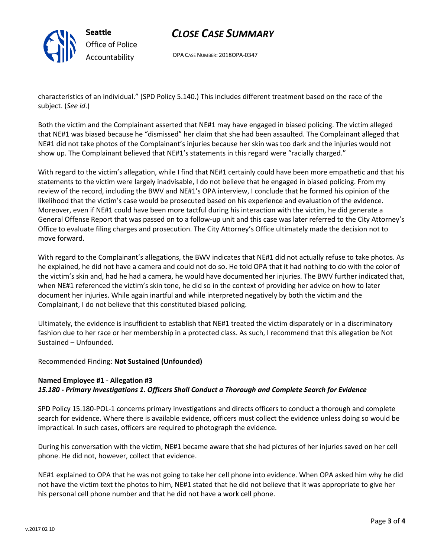

# *CLOSE CASE SUMMARY*

OPA CASE NUMBER: 2018OPA-0347

characteristics of an individual." (SPD Policy 5.140.) This includes different treatment based on the race of the subject. (*See id*.)

Both the victim and the Complainant asserted that NE#1 may have engaged in biased policing. The victim alleged that NE#1 was biased because he "dismissed" her claim that she had been assaulted. The Complainant alleged that NE#1 did not take photos of the Complainant's injuries because her skin was too dark and the injuries would not show up. The Complainant believed that NE#1's statements in this regard were "racially charged."

With regard to the victim's allegation, while I find that NE#1 certainly could have been more empathetic and that his statements to the victim were largely inadvisable, I do not believe that he engaged in biased policing. From my review of the record, including the BWV and NE#1's OPA interview, I conclude that he formed his opinion of the likelihood that the victim's case would be prosecuted based on his experience and evaluation of the evidence. Moreover, even if NE#1 could have been more tactful during his interaction with the victim, he did generate a General Offense Report that was passed on to a follow-up unit and this case was later referred to the City Attorney's Office to evaluate filing charges and prosecution. The City Attorney's Office ultimately made the decision not to move forward.

With regard to the Complainant's allegations, the BWV indicates that NE#1 did not actually refuse to take photos. As he explained, he did not have a camera and could not do so. He told OPA that it had nothing to do with the color of the victim's skin and, had he had a camera, he would have documented her injuries. The BWV further indicated that, when NE#1 referenced the victim's skin tone, he did so in the context of providing her advice on how to later document her injuries. While again inartful and while interpreted negatively by both the victim and the Complainant, I do not believe that this constituted biased policing.

Ultimately, the evidence is insufficient to establish that NE#1 treated the victim disparately or in a discriminatory fashion due to her race or her membership in a protected class. As such, I recommend that this allegation be Not Sustained – Unfounded.

# Recommended Finding: **Not Sustained (Unfounded)**

### **Named Employee #1 - Allegation #3** *15.180 - Primary Investigations 1. Officers Shall Conduct a Thorough and Complete Search for Evidence*

SPD Policy 15.180-POL-1 concerns primary investigations and directs officers to conduct a thorough and complete search for evidence. Where there is available evidence, officers must collect the evidence unless doing so would be impractical. In such cases, officers are required to photograph the evidence.

During his conversation with the victim, NE#1 became aware that she had pictures of her injuries saved on her cell phone. He did not, however, collect that evidence.

NE#1 explained to OPA that he was not going to take her cell phone into evidence. When OPA asked him why he did not have the victim text the photos to him, NE#1 stated that he did not believe that it was appropriate to give her his personal cell phone number and that he did not have a work cell phone.